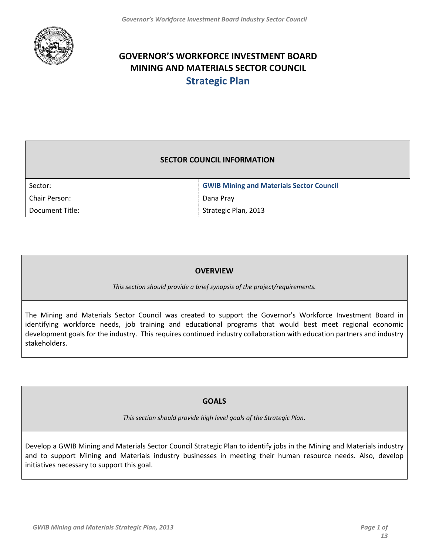

# **GOVERNOR'S WORKFORCE INVESTMENT BOARD MINING AND MATERIALS SECTOR COUNCIL Strategic Plan**

### **SECTOR COUNCIL INFORMATION**

| Sector:         | <b>GWIB Mining and Materials Sector Council</b> |
|-----------------|-------------------------------------------------|
| Chair Person:   | Dana Pray                                       |
| Document Title: | Strategic Plan, 2013                            |

### **OVERVIEW**

*This section should provide a brief synopsis of the project/requirements.*

The Mining and Materials Sector Council was created to support the Governor's Workforce Investment Board in identifying workforce needs, job training and educational programs that would best meet regional economic development goals for the industry. This requires continued industry collaboration with education partners and industry stakeholders.

### **GOALS**

*This section should provide high level goals of the Strategic Plan.* 

Develop a GWIB Mining and Materials Sector Council Strategic Plan to identify jobs in the Mining and Materials industry and to support Mining and Materials industry businesses in meeting their human resource needs. Also, develop initiatives necessary to support this goal.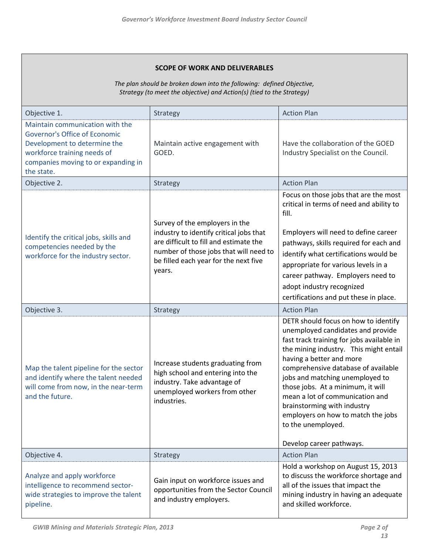#### **SCOPE OF WORK AND DELIVERABLES**

*The plan should be broken down into the following: defined Objective, Strategy (to meet the objective) and Action(s) (tied to the Strategy)*

| Objective 1.                                                                                                                                                                                | Strategy                                                                                                                                                                                                         | <b>Action Plan</b>                                                                                                                                                                                                                                                                                                                                                       |  |
|---------------------------------------------------------------------------------------------------------------------------------------------------------------------------------------------|------------------------------------------------------------------------------------------------------------------------------------------------------------------------------------------------------------------|--------------------------------------------------------------------------------------------------------------------------------------------------------------------------------------------------------------------------------------------------------------------------------------------------------------------------------------------------------------------------|--|
| Maintain communication with the<br><b>Governor's Office of Economic</b><br>Development to determine the<br>workforce training needs of<br>companies moving to or expanding in<br>the state. | Maintain active engagement with<br>GOED.                                                                                                                                                                         | Have the collaboration of the GOED<br>Industry Specialist on the Council.                                                                                                                                                                                                                                                                                                |  |
| Objective 2.                                                                                                                                                                                | Strategy                                                                                                                                                                                                         | <b>Action Plan</b>                                                                                                                                                                                                                                                                                                                                                       |  |
| Identify the critical jobs, skills and<br>competencies needed by the<br>workforce for the industry sector.                                                                                  | Survey of the employers in the<br>industry to identify critical jobs that<br>are difficult to fill and estimate the<br>number of those jobs that will need to<br>be filled each year for the next five<br>years. | Focus on those jobs that are the most<br>critical in terms of need and ability to<br>fill.<br>Employers will need to define career<br>pathways, skills required for each and<br>identify what certifications would be<br>appropriate for various levels in a<br>career pathway. Employers need to<br>adopt industry recognized<br>certifications and put these in place. |  |
| Objective 3.                                                                                                                                                                                | Strategy                                                                                                                                                                                                         | <b>Action Plan</b>                                                                                                                                                                                                                                                                                                                                                       |  |
| Map the talent pipeline for the sector<br>and identify where the talent needed<br>will come from now, in the near-term<br>and the future.                                                   | Increase students graduating from<br>high school and entering into the<br>industry. Take advantage of<br>unemployed workers from other<br>industries.                                                            |                                                                                                                                                                                                                                                                                                                                                                          |  |
| Objective 4.                                                                                                                                                                                |                                                                                                                                                                                                                  | Develop career pathways.<br><b>Action Plan</b>                                                                                                                                                                                                                                                                                                                           |  |
| Analyze and apply workforce<br>intelligence to recommend sector-<br>wide strategies to improve the talent<br>pipeline.                                                                      | Strategy<br>Gain input on workforce issues and<br>opportunities from the Sector Council<br>and industry employers.                                                                                               | Hold a workshop on August 15, 2013<br>to discuss the workforce shortage and<br>all of the issues that impact the<br>mining industry in having an adequate<br>and skilled workforce.                                                                                                                                                                                      |  |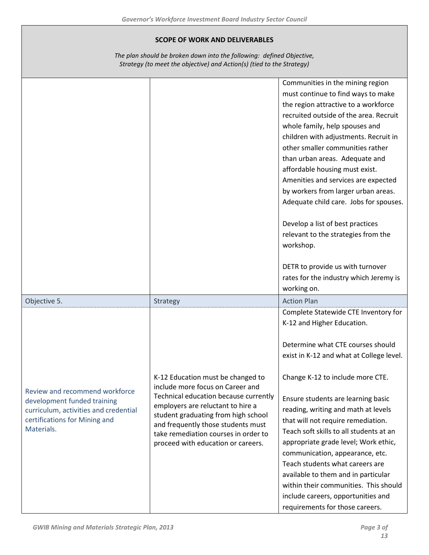| <b>SCOPE OF WORK AND DELIVERABLES</b><br>The plan should be broken down into the following: defined Objective,<br>Strategy (to meet the objective) and Action(s) (tied to the Strategy) |                                                                                                                                                                                                                                                                                                                |                                                                                                                                                                                                                                                                                                                                                                                                                                                                                                                                                                                                                                                          |
|-----------------------------------------------------------------------------------------------------------------------------------------------------------------------------------------|----------------------------------------------------------------------------------------------------------------------------------------------------------------------------------------------------------------------------------------------------------------------------------------------------------------|----------------------------------------------------------------------------------------------------------------------------------------------------------------------------------------------------------------------------------------------------------------------------------------------------------------------------------------------------------------------------------------------------------------------------------------------------------------------------------------------------------------------------------------------------------------------------------------------------------------------------------------------------------|
|                                                                                                                                                                                         |                                                                                                                                                                                                                                                                                                                | Communities in the mining region<br>must continue to find ways to make<br>the region attractive to a workforce<br>recruited outside of the area. Recruit<br>whole family, help spouses and<br>children with adjustments. Recruit in<br>other smaller communities rather<br>than urban areas. Adequate and<br>affordable housing must exist.<br>Amenities and services are expected<br>by workers from larger urban areas.<br>Adequate child care. Jobs for spouses.<br>Develop a list of best practices<br>relevant to the strategies from the<br>workshop.<br>DETR to provide us with turnover<br>rates for the industry which Jeremy is<br>working on. |
| Objective 5.                                                                                                                                                                            | Strategy                                                                                                                                                                                                                                                                                                       | <b>Action Plan</b>                                                                                                                                                                                                                                                                                                                                                                                                                                                                                                                                                                                                                                       |
| Review and recommend workforce<br>development funded training<br>curriculum, activities and credential<br>certifications for Mining and<br>Materials.                                   | K-12 Education must be changed to<br>include more focus on Career and<br>Technical education because currently<br>employers are reluctant to hire a<br>student graduating from high school<br>and frequently those students must<br>take remediation courses in order to<br>proceed with education or careers. | Complete Statewide CTE Inventory for<br>K-12 and Higher Education.<br>Determine what CTE courses should<br>exist in K-12 and what at College level.<br>Change K-12 to include more CTE.<br>Ensure students are learning basic<br>reading, writing and math at levels<br>that will not require remediation.<br>Teach soft skills to all students at an<br>appropriate grade level; Work ethic,<br>communication, appearance, etc.<br>Teach students what careers are<br>available to them and in particular<br>within their communities. This should<br>include careers, opportunities and<br>requirements for those careers.                             |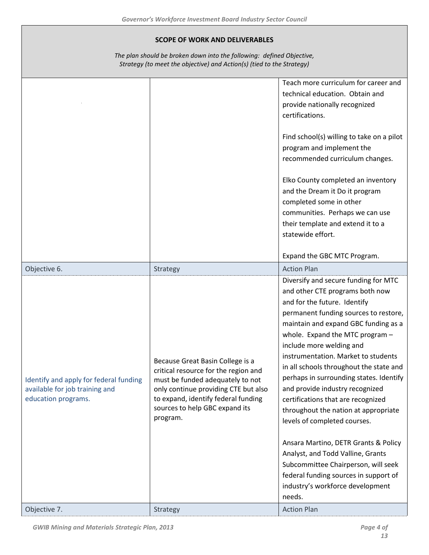#### **SCOPE OF WORK AND DELIVERABLES**

*The plan should be broken down into the following: defined Objective, Strategy (to meet the objective) and Action(s) (tied to the Strategy)*

|                                                                                                 |                                                                                                                                                                                                                                           | Teach more curriculum for career and<br>technical education. Obtain and<br>provide nationally recognized<br>certifications.                                                                                                                                                                                                                                                                                                                                                                                                                                                                                        |
|-------------------------------------------------------------------------------------------------|-------------------------------------------------------------------------------------------------------------------------------------------------------------------------------------------------------------------------------------------|--------------------------------------------------------------------------------------------------------------------------------------------------------------------------------------------------------------------------------------------------------------------------------------------------------------------------------------------------------------------------------------------------------------------------------------------------------------------------------------------------------------------------------------------------------------------------------------------------------------------|
|                                                                                                 |                                                                                                                                                                                                                                           | Find school(s) willing to take on a pilot<br>program and implement the<br>recommended curriculum changes.                                                                                                                                                                                                                                                                                                                                                                                                                                                                                                          |
|                                                                                                 |                                                                                                                                                                                                                                           | Elko County completed an inventory<br>and the Dream it Do it program<br>completed some in other<br>communities. Perhaps we can use<br>their template and extend it to a<br>statewide effort.                                                                                                                                                                                                                                                                                                                                                                                                                       |
|                                                                                                 |                                                                                                                                                                                                                                           | Expand the GBC MTC Program.                                                                                                                                                                                                                                                                                                                                                                                                                                                                                                                                                                                        |
| Objective 6.                                                                                    | Strategy                                                                                                                                                                                                                                  | <b>Action Plan</b>                                                                                                                                                                                                                                                                                                                                                                                                                                                                                                                                                                                                 |
| Identify and apply for federal funding<br>available for job training and<br>education programs. | Because Great Basin College is a<br>critical resource for the region and<br>must be funded adequately to not<br>only continue providing CTE but also<br>to expand, identify federal funding<br>sources to help GBC expand its<br>program. | Diversify and secure funding for MTC<br>and other CTE programs both now<br>and for the future. Identify<br>permanent funding sources to restore,<br>maintain and expand GBC funding as a<br>whole. Expand the MTC program -<br>include more welding and<br>instrumentation. Market to students<br>in all schools throughout the state and<br>perhaps in surrounding states. Identify<br>and provide industry recognized<br>certifications that are recognized<br>throughout the nation at appropriate<br>levels of completed courses.<br>Ansara Martino, DETR Grants & Policy<br>Analyst, and Todd Valline, Grants |
|                                                                                                 |                                                                                                                                                                                                                                           | Subcommittee Chairperson, will seek<br>federal funding sources in support of<br>industry's workforce development<br>needs.                                                                                                                                                                                                                                                                                                                                                                                                                                                                                         |
| Objective 7.                                                                                    | Strategy                                                                                                                                                                                                                                  | <b>Action Plan</b>                                                                                                                                                                                                                                                                                                                                                                                                                                                                                                                                                                                                 |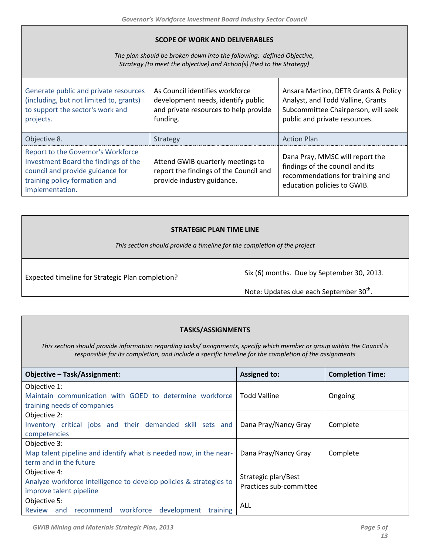#### **SCOPE OF WORK AND DELIVERABLES**

*The plan should be broken down into the following: defined Objective, Strategy (to meet the objective) and Action(s) (tied to the Strategy)*

| Generate public and private resources<br>(including, but not limited to, grants)<br>to support the sector's work and<br>projects.                                  | As Council identifies workforce<br>development needs, identify public<br>and private resources to help provide<br>funding. | Ansara Martino, DETR Grants & Policy<br>Analyst, and Todd Valline, Grants<br>Subcommittee Chairperson, will seek<br>public and private resources. |
|--------------------------------------------------------------------------------------------------------------------------------------------------------------------|----------------------------------------------------------------------------------------------------------------------------|---------------------------------------------------------------------------------------------------------------------------------------------------|
| Objective 8.                                                                                                                                                       | Strategy                                                                                                                   | <b>Action Plan</b>                                                                                                                                |
| Report to the Governor's Workforce<br>Investment Board the findings of the<br>council and provide guidance for<br>training policy formation and<br>implementation. | Attend GWIB quarterly meetings to<br>report the findings of the Council and<br>provide industry guidance.                  | Dana Pray, MMSC will report the<br>findings of the council and its<br>recommendations for training and<br>education policies to GWIB.             |

| <b>STRATEGIC PLAN TIME LINE</b>                                          |                                                                                                   |  |
|--------------------------------------------------------------------------|---------------------------------------------------------------------------------------------------|--|
| This section should provide a timeline for the completion of the project |                                                                                                   |  |
| Expected timeline for Strategic Plan completion?                         | Six (6) months. Due by September 30, 2013.<br>Note: Updates due each September 30 <sup>th</sup> . |  |

#### **TASKS/ASSIGNMENTS**

*This section should provide information regarding tasks/ assignments, specify which member or group within the Council is responsible for its completion, and include a specific timeline for the completion of the assignments*

| <b>Objective - Task/Assignment:</b>                                | <b>Assigned to:</b>     | <b>Completion Time:</b> |
|--------------------------------------------------------------------|-------------------------|-------------------------|
| Objective 1:                                                       |                         |                         |
| Maintain communication with GOED to determine workforce            | Todd Valline            | Ongoing                 |
| training needs of companies                                        |                         |                         |
| Objective 2:                                                       |                         |                         |
| Inventory critical jobs and their demanded skill sets and          | Dana Pray/Nancy Gray    | Complete                |
| competencies                                                       |                         |                         |
| Objective 3:                                                       |                         |                         |
| Map talent pipeline and identify what is needed now, in the near-  | Dana Pray/Nancy Gray    | Complete                |
| term and in the future                                             |                         |                         |
| Objective 4:                                                       | Strategic plan/Best     |                         |
| Analyze workforce intelligence to develop policies & strategies to | Practices sub-committee |                         |
| improve talent pipeline                                            |                         |                         |
| Objective 5:                                                       | ALL                     |                         |
| recommend workforce development<br>Review<br>and<br>training       |                         |                         |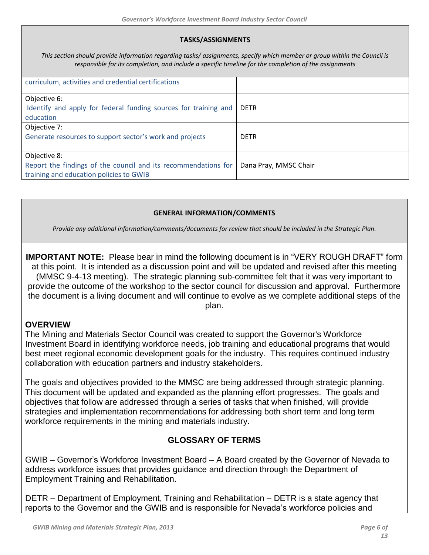### **TASKS/ASSIGNMENTS**

*This section should provide information regarding tasks/ assignments, specify which member or group within the Council is responsible for its completion, and include a specific timeline for the completion of the assignments*

| curriculum, activities and credential certifications                                                                      |                       |  |
|---------------------------------------------------------------------------------------------------------------------------|-----------------------|--|
| Objective 6:<br>Identify and apply for federal funding sources for training and<br>education                              | <b>DFTR</b>           |  |
| Objective 7:<br>Generate resources to support sector's work and projects                                                  | <b>DETR</b>           |  |
| Objective 8:<br>Report the findings of the council and its recommendations for<br>training and education policies to GWIB | Dana Pray, MMSC Chair |  |

### **GENERAL INFORMATION/COMMENTS**

*Provide any additional information/comments/documents for review that should be included in the Strategic Plan.*

**IMPORTANT NOTE:** Please bear in mind the following document is in "VERY ROUGH DRAFT" form at this point. It is intended as a discussion point and will be updated and revised after this meeting (MMSC 9-4-13 meeting). The strategic planning sub-committee felt that it was very important to provide the outcome of the workshop to the sector council for discussion and approval. Furthermore the document is a living document and will continue to evolve as we complete additional steps of the plan.

### **OVERVIEW**

The Mining and Materials Sector Council was created to support the Governor's Workforce Investment Board in identifying workforce needs, job training and educational programs that would best meet regional economic development goals for the industry. This requires continued industry collaboration with education partners and industry stakeholders.

The goals and objectives provided to the MMSC are being addressed through strategic planning. This document will be updated and expanded as the planning effort progresses. The goals and objectives that follow are addressed through a series of tasks that when finished, will provide strategies and implementation recommendations for addressing both short term and long term workforce requirements in the mining and materials industry.

### **GLOSSARY OF TERMS**

GWIB – Governor's Workforce Investment Board – A Board created by the Governor of Nevada to address workforce issues that provides guidance and direction through the Department of Employment Training and Rehabilitation.

DETR – Department of Employment, Training and Rehabilitation – DETR is a state agency that reports to the Governor and the GWIB and is responsible for Nevada's workforce policies and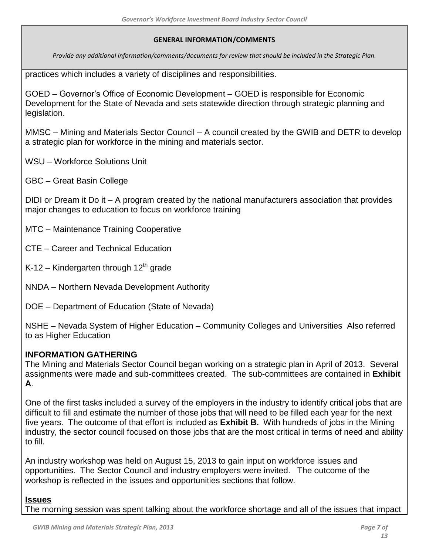*Provide any additional information/comments/documents for review that should be included in the Strategic Plan.*

practices which includes a variety of disciplines and responsibilities.

GOED – Governor's Office of Economic Development – GOED is responsible for Economic Development for the State of Nevada and sets statewide direction through strategic planning and legislation.

MMSC – Mining and Materials Sector Council – A council created by the GWIB and DETR to develop a strategic plan for workforce in the mining and materials sector.

WSU – Workforce Solutions Unit

GBC – Great Basin College

DIDI or Dream it Do it – A program created by the national manufacturers association that provides major changes to education to focus on workforce training

- MTC Maintenance Training Cooperative
- CTE Career and Technical Education
- K-12 Kindergarten through  $12<sup>th</sup>$  grade
- NNDA Northern Nevada Development Authority
- DOE Department of Education (State of Nevada)

NSHE – Nevada System of Higher Education – Community Colleges and Universities Also referred to as Higher Education

### **INFORMATION GATHERING**

The Mining and Materials Sector Council began working on a strategic plan in April of 2013. Several assignments were made and sub-committees created. The sub-committees are contained in **Exhibit A**.

One of the first tasks included a survey of the employers in the industry to identify critical jobs that are difficult to fill and estimate the number of those jobs that will need to be filled each year for the next five years. The outcome of that effort is included as **Exhibit B.** With hundreds of jobs in the Mining industry, the sector council focused on those jobs that are the most critical in terms of need and ability to fill.

An industry workshop was held on August 15, 2013 to gain input on workforce issues and opportunities. The Sector Council and industry employers were invited. The outcome of the workshop is reflected in the issues and opportunities sections that follow.

### **Issues**

The morning session was spent talking about the workforce shortage and all of the issues that impact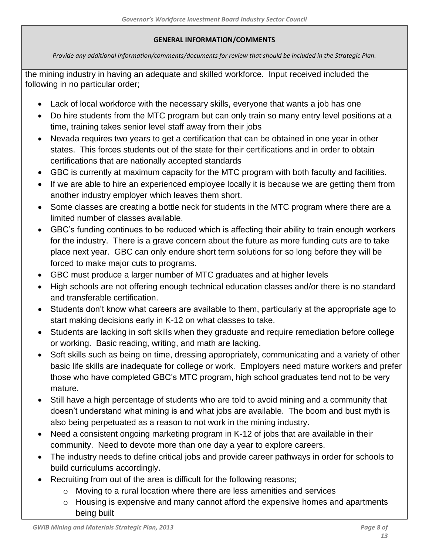*Provide any additional information/comments/documents for review that should be included in the Strategic Plan.*

the mining industry in having an adequate and skilled workforce. Input received included the following in no particular order;

- Lack of local workforce with the necessary skills, everyone that wants a job has one
- Do hire students from the MTC program but can only train so many entry level positions at a time, training takes senior level staff away from their jobs
- Nevada requires two years to get a certification that can be obtained in one year in other states. This forces students out of the state for their certifications and in order to obtain certifications that are nationally accepted standards
- GBC is currently at maximum capacity for the MTC program with both faculty and facilities.
- If we are able to hire an experienced employee locally it is because we are getting them from another industry employer which leaves them short.
- Some classes are creating a bottle neck for students in the MTC program where there are a limited number of classes available.
- GBC's funding continues to be reduced which is affecting their ability to train enough workers for the industry. There is a grave concern about the future as more funding cuts are to take place next year. GBC can only endure short term solutions for so long before they will be forced to make major cuts to programs.
- GBC must produce a larger number of MTC graduates and at higher levels
- High schools are not offering enough technical education classes and/or there is no standard and transferable certification.
- Students don't know what careers are available to them, particularly at the appropriate age to start making decisions early in K-12 on what classes to take.
- Students are lacking in soft skills when they graduate and require remediation before college or working. Basic reading, writing, and math are lacking.
- Soft skills such as being on time, dressing appropriately, communicating and a variety of other basic life skills are inadequate for college or work. Employers need mature workers and prefer those who have completed GBC's MTC program, high school graduates tend not to be very mature.
- Still have a high percentage of students who are told to avoid mining and a community that doesn't understand what mining is and what jobs are available. The boom and bust myth is also being perpetuated as a reason to not work in the mining industry.
- Need a consistent ongoing marketing program in K-12 of jobs that are available in their community. Need to devote more than one day a year to explore careers.
- The industry needs to define critical jobs and provide career pathways in order for schools to build curriculums accordingly.
- Recruiting from out of the area is difficult for the following reasons;
	- $\circ$  Moving to a rural location where there are less amenities and services
	- $\circ$  Housing is expensive and many cannot afford the expensive homes and apartments being built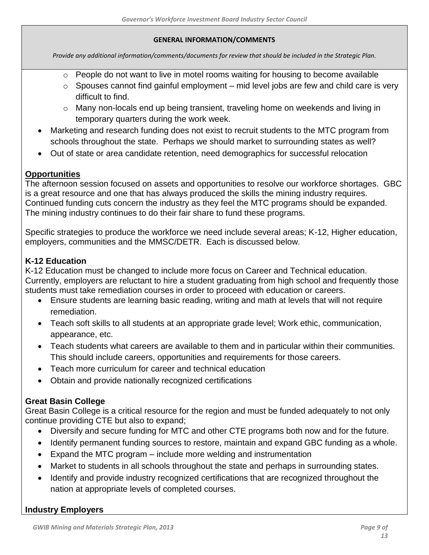*Provide any additional information/comments/documents for review that should be included in the Strategic Plan.*

- o People do not want to live in motel rooms waiting for housing to become available
- $\circ$  Spouses cannot find gainful employment mid level jobs are few and child care is very difficult to find.
- o Many non-locals end up being transient, traveling home on weekends and living in temporary quarters during the work week.
- Marketing and research funding does not exist to recruit students to the MTC program from schools throughout the state. Perhaps we should market to surrounding states as well?
- Out of state or area candidate retention, need demographics for successful relocation

## **Opportunities**

The afternoon session focused on assets and opportunities to resolve our workforce shortages. GBC is a great resource and one that has always produced the skills the mining industry requires. Continued funding cuts concern the industry as they feel the MTC programs should be expanded. The mining industry continues to do their fair share to fund these programs.

Specific strategies to produce the workforce we need include several areas; K-12, Higher education, employers, communities and the MMSC/DETR. Each is discussed below.

# **K-12 Education**

K-12 Education must be changed to include more focus on Career and Technical education. Currently, employers are reluctant to hire a student graduating from high school and frequently those students must take remediation courses in order to proceed with education or careers.

- Ensure students are learning basic reading, writing and math at levels that will not require remediation.
- Teach soft skills to all students at an appropriate grade level; Work ethic, communication, appearance, etc.
- Teach students what careers are available to them and in particular within their communities. This should include careers, opportunities and requirements for those careers.
- Teach more curriculum for career and technical education
- Obtain and provide nationally recognized certifications

# **Great Basin College**

Great Basin College is a critical resource for the region and must be funded adequately to not only continue providing CTE but also to expand;

- Diversify and secure funding for MTC and other CTE programs both now and for the future.
- Identify permanent funding sources to restore, maintain and expand GBC funding as a whole.
- Expand the MTC program include more welding and instrumentation
- Market to students in all schools throughout the state and perhaps in surrounding states.
- Identify and provide industry recognized certifications that are recognized throughout the nation at appropriate levels of completed courses.

# **Industry Employers**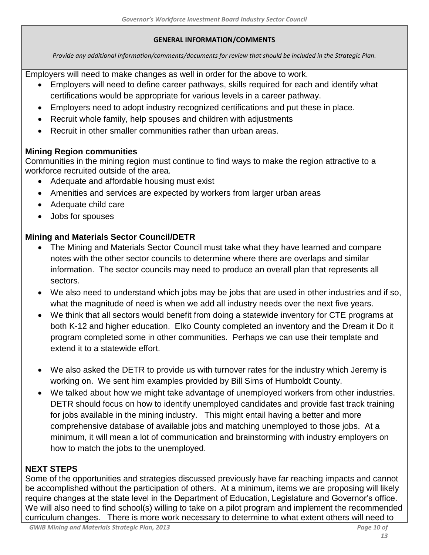*Provide any additional information/comments/documents for review that should be included in the Strategic Plan.*

Employers will need to make changes as well in order for the above to work.

- Employers will need to define career pathways, skills required for each and identify what certifications would be appropriate for various levels in a career pathway.
- Employers need to adopt industry recognized certifications and put these in place.
- Recruit whole family, help spouses and children with adjustments
- Recruit in other smaller communities rather than urban areas.

# **Mining Region communities**

Communities in the mining region must continue to find ways to make the region attractive to a workforce recruited outside of the area.

- Adequate and affordable housing must exist
- Amenities and services are expected by workers from larger urban areas
- Adequate child care
- Jobs for spouses

# **Mining and Materials Sector Council/DETR**

- The Mining and Materials Sector Council must take what they have learned and compare notes with the other sector councils to determine where there are overlaps and similar information. The sector councils may need to produce an overall plan that represents all sectors.
- We also need to understand which jobs may be jobs that are used in other industries and if so, what the magnitude of need is when we add all industry needs over the next five years.
- We think that all sectors would benefit from doing a statewide inventory for CTE programs at both K-12 and higher education. Elko County completed an inventory and the Dream it Do it program completed some in other communities. Perhaps we can use their template and extend it to a statewide effort.
- We also asked the DETR to provide us with turnover rates for the industry which Jeremy is working on. We sent him examples provided by Bill Sims of Humboldt County.
- We talked about how we might take advantage of unemployed workers from other industries. DETR should focus on how to identify unemployed candidates and provide fast track training for jobs available in the mining industry. This might entail having a better and more comprehensive database of available jobs and matching unemployed to those jobs. At a minimum, it will mean a lot of communication and brainstorming with industry employers on how to match the jobs to the unemployed.

# **NEXT STEPS**

Some of the opportunities and strategies discussed previously have far reaching impacts and cannot be accomplished without the participation of others. At a minimum, items we are proposing will likely require changes at the state level in the Department of Education, Legislature and Governor's office. We will also need to find school(s) willing to take on a pilot program and implement the recommended curriculum changes. There is more work necessary to determine to what extent others will need to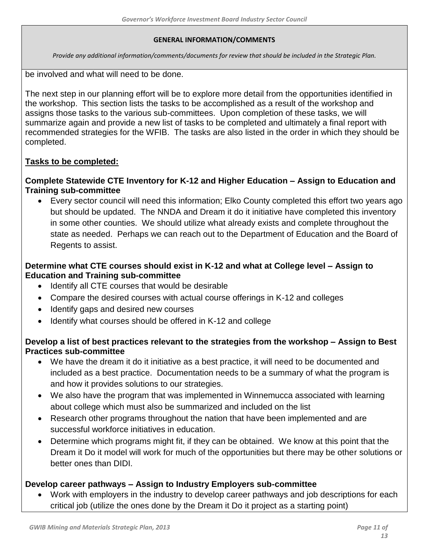*Provide any additional information/comments/documents for review that should be included in the Strategic Plan.*

be involved and what will need to be done.

The next step in our planning effort will be to explore more detail from the opportunities identified in the workshop. This section lists the tasks to be accomplished as a result of the workshop and assigns those tasks to the various sub-committees. Upon completion of these tasks, we will summarize again and provide a new list of tasks to be completed and ultimately a final report with recommended strategies for the WFIB. The tasks are also listed in the order in which they should be completed.

# **Tasks to be completed:**

## **Complete Statewide CTE Inventory for K-12 and Higher Education – Assign to Education and Training sub-committee**

 Every sector council will need this information; Elko County completed this effort two years ago but should be updated. The NNDA and Dream it do it initiative have completed this inventory in some other counties. We should utilize what already exists and complete throughout the state as needed. Perhaps we can reach out to the Department of Education and the Board of Regents to assist.

# **Determine what CTE courses should exist in K-12 and what at College level – Assign to Education and Training sub-committee**

- Identify all CTE courses that would be desirable
- Compare the desired courses with actual course offerings in K-12 and colleges
- Identify gaps and desired new courses
- Identify what courses should be offered in K-12 and college

# **Develop a list of best practices relevant to the strategies from the workshop – Assign to Best Practices sub-committee**

- We have the dream it do it initiative as a best practice, it will need to be documented and included as a best practice. Documentation needs to be a summary of what the program is and how it provides solutions to our strategies.
- We also have the program that was implemented in Winnemucca associated with learning about college which must also be summarized and included on the list
- Research other programs throughout the nation that have been implemented and are successful workforce initiatives in education.
- Determine which programs might fit, if they can be obtained. We know at this point that the Dream it Do it model will work for much of the opportunities but there may be other solutions or better ones than DIDI.

# **Develop career pathways – Assign to Industry Employers sub-committee**

 Work with employers in the industry to develop career pathways and job descriptions for each critical job (utilize the ones done by the Dream it Do it project as a starting point)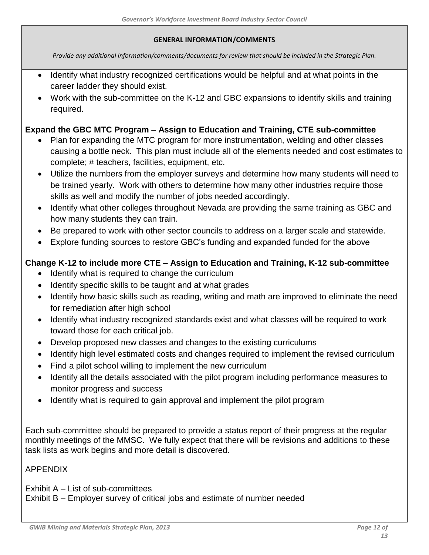*Provide any additional information/comments/documents for review that should be included in the Strategic Plan.*

- Identify what industry recognized certifications would be helpful and at what points in the career ladder they should exist.
- Work with the sub-committee on the K-12 and GBC expansions to identify skills and training required.

## **Expand the GBC MTC Program – Assign to Education and Training, CTE sub-committee**

- Plan for expanding the MTC program for more instrumentation, welding and other classes causing a bottle neck. This plan must include all of the elements needed and cost estimates to complete; # teachers, facilities, equipment, etc.
- Utilize the numbers from the employer surveys and determine how many students will need to be trained yearly. Work with others to determine how many other industries require those skills as well and modify the number of jobs needed accordingly.
- Identify what other colleges throughout Nevada are providing the same training as GBC and how many students they can train.
- Be prepared to work with other sector councils to address on a larger scale and statewide.
- Explore funding sources to restore GBC's funding and expanded funded for the above

# **Change K-12 to include more CTE – Assign to Education and Training, K-12 sub-committee**

- Identify what is required to change the curriculum
- Identify specific skills to be taught and at what grades
- Identify how basic skills such as reading, writing and math are improved to eliminate the need for remediation after high school
- Identify what industry recognized standards exist and what classes will be required to work toward those for each critical job.
- Develop proposed new classes and changes to the existing curriculums
- Identify high level estimated costs and changes required to implement the revised curriculum
- Find a pilot school willing to implement the new curriculum
- Identify all the details associated with the pilot program including performance measures to monitor progress and success
- Identify what is required to gain approval and implement the pilot program

Each sub-committee should be prepared to provide a status report of their progress at the regular monthly meetings of the MMSC. We fully expect that there will be revisions and additions to these task lists as work begins and more detail is discovered.

### APPENDIX

Exhibit A – List of sub-committees Exhibit B – Employer survey of critical jobs and estimate of number needed